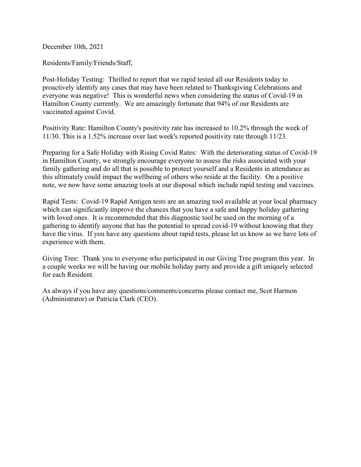December 10th, 2021

Residents/Family/Friends/Staff,

Post-Holiday Testing: Thrilled to report that we rapid tested all our Residents today to proactively identify any cases that may have been related to Thanksgiving Celebrations and everyone was negative! This is wonderful news when considering the status of Covid-19 in Hamilton County currently. We are amazingly fortunate that 94% of our Residents are vaccinated against Covid.

Positivity Rate: Hamilton County's positivity rate has increased to 10.2% through the week of 11/30. This is a 1.52% increase over last week's reported positivity rate through 11/23.

Preparing for a Safe Holiday with Rising Covid Rates: With the deteriorating status of Covid-19 in Hamilton County, we strongly encourage everyone to assess the risks associated with your family gathering and do all that is possible to protect yourself and a Residents in attendance as this ultimately could impact the wellbeing of others who reside at the facility. On a positive note, we now have some amazing tools at our disposal which include rapid testing and vaccines.

Rapid Tests: Covid-19 Rapid Antigen tests are an amazing tool available at your local pharmacy which can significantly improve the chances that you have a safe and happy holiday gathering with loved ones. It is recommended that this diagnostic tool be used on the morning of a gathering to identify anyone that has the potential to spread covid-19 without knowing that they have the virus. If you have any questions about rapid tests, please let us know as we have lots of experience with them.

Giving Tree: Thank you to everyone who participated in our Giving Tree program this year. In a couple weeks we will be having our mobile holiday party and provide a gift uniquely selected for each Resident.

As always if you have any questions/comments/concerns please contact me, Scot Harmon (Administrator) or Patricia Clark (CEO).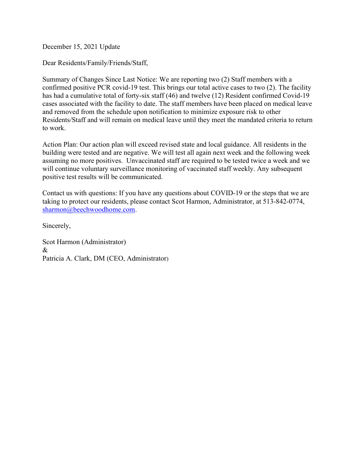December 15, 2021 Update

Dear Residents/Family/Friends/Staff,

Summary of Changes Since Last Notice: We are reporting two (2) Staff members with a confirmed positive PCR covid-19 test. This brings our total active cases to two (2). The facility has had a cumulative total of forty-six staff (46) and twelve (12) Resident confirmed Covid-19 cases associated with the facility to date. The staff members have been placed on medical leave and removed from the schedule upon notification to minimize exposure risk to other Residents/Staff and will remain on medical leave until they meet the mandated criteria to return to work.

Action Plan: Our action plan will exceed revised state and local guidance. All residents in the building were tested and are negative. We will test all again next week and the following week assuming no more positives. Unvaccinated staff are required to be tested twice a week and we will continue voluntary surveillance monitoring of vaccinated staff weekly. Any subsequent positive test results will be communicated.

Contact us with questions: If you have any questions about COVID-19 or the steps that we are taking to protect our residents, please contact Scot Harmon, Administrator, at 513-842-0774, sharmon@beechwoodhome.com.

Sincerely,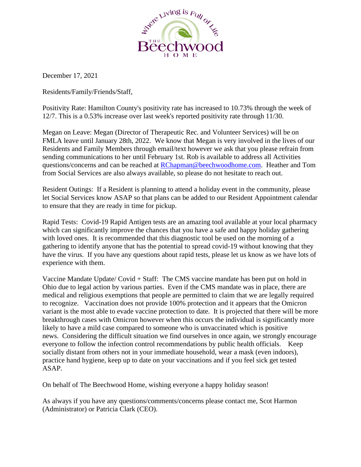

December 17, 2021

Residents/Family/Friends/Staff,

Positivity Rate: Hamilton County's positivity rate has increased to 10.73% through the week of 12/7. This is a 0.53% increase over last week's reported positivity rate through 11/30.

Megan on Leave: Megan (Director of Therapeutic Rec. and Volunteer Services) will be on FMLA leave until January 28th, 2022. We know that Megan is very involved in the lives of our Residents and Family Members through email/text however we ask that you please refrain from sending communications to her until February 1st. Rob is available to address all Activities questions/concerns and can be reached at [RChapman@beechwoodhome.com.](mailto:RChapman@beechwoodhome.com) Heather and Tom from Social Services are also always available, so please do not hesitate to reach out.

Resident Outings: If a Resident is planning to attend a holiday event in the community, please let Social Services know ASAP so that plans can be added to our Resident Appointment calendar to ensure that they are ready in time for pickup.

Rapid Tests: Covid-19 Rapid Antigen tests are an amazing tool available at your local pharmacy which can significantly improve the chances that you have a safe and happy holiday gathering with loved ones. It is recommended that this diagnostic tool be used on the morning of a gathering to identify anyone that has the potential to spread covid-19 without knowing that they have the virus. If you have any questions about rapid tests, please let us know as we have lots of experience with them.

Vaccine Mandate Update/ Covid + Staff: The CMS vaccine mandate has been put on hold in Ohio due to legal action by various parties. Even if the CMS mandate was in place, there are medical and religious exemptions that people are permitted to claim that we are legally required to recognize. Vaccination does not provide 100% protection and it appears that the Omicron variant is the most able to evade vaccine protection to date. It is projected that there will be more breakthrough cases with Omicron however when this occurs the individual is significantly more likely to have a mild case compared to someone who is unvaccinated which is positive news. Considering the difficult situation we find ourselves in once again, we strongly encourage everyone to follow the infection control recommendations by public health officials. Keep socially distant from others not in your immediate household, wear a mask (even indoors), practice hand hygiene, keep up to date on your vaccinations and if you feel sick get tested ASAP.

On behalf of The Beechwood Home, wishing everyone a happy holiday season!

As always if you have any questions/comments/concerns please contact me, Scot Harmon (Administrator) or Patricia Clark (CEO).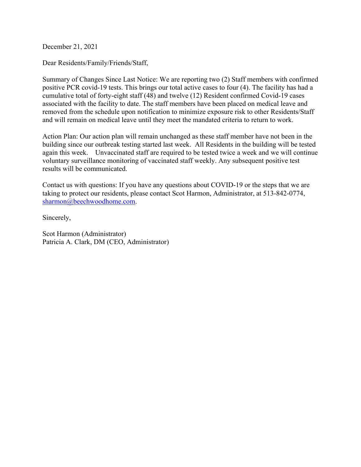December 21, 2021

Dear Residents/Family/Friends/Staff,

Summary of Changes Since Last Notice: We are reporting two (2) Staff members with confirmed positive PCR covid-19 tests. This brings our total active cases to four (4). The facility has had a cumulative total of forty-eight staff (48) and twelve (12) Resident confirmed Covid-19 cases associated with the facility to date. The staff members have been placed on medical leave and removed from the schedule upon notification to minimize exposure risk to other Residents/Staff and will remain on medical leave until they meet the mandated criteria to return to work.

Action Plan: Our action plan will remain unchanged as these staff member have not been in the building since our outbreak testing started last week. All Residents in the building will be tested again this week. Unvaccinated staff are required to be tested twice a week and we will continue voluntary surveillance monitoring of vaccinated staff weekly. Any subsequent positive test results will be communicated.

Contact us with questions: If you have any questions about COVID-19 or the steps that we are taking to protect our residents, please contact Scot Harmon, Administrator, at 513-842-0774, sharmon@beechwoodhome.com.

Sincerely,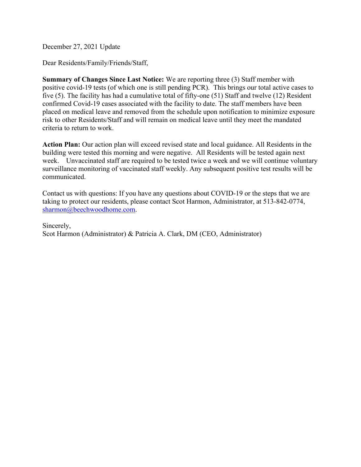December 27, 2021 Update

Dear Residents/Family/Friends/Staff,

**Summary of Changes Since Last Notice:** We are reporting three (3) Staff member with positive covid-19 tests (of which one is still pending PCR). This brings our total active cases to five (5). The facility has had a cumulative total of fifty-one (51) Staff and twelve (12) Resident confirmed Covid-19 cases associated with the facility to date. The staff members have been placed on medical leave and removed from the schedule upon notification to minimize exposure risk to other Residents/Staff and will remain on medical leave until they meet the mandated criteria to return to work.

**Action Plan:** Our action plan will exceed revised state and local guidance. All Residents in the building were tested this morning and were negative. All Residents will be tested again next week. Unvaccinated staff are required to be tested twice a week and we will continue voluntary surveillance monitoring of vaccinated staff weekly. Any subsequent positive test results will be communicated.

Contact us with questions: If you have any questions about COVID-19 or the steps that we are taking to protect our residents, please contact Scot Harmon, Administrator, at 513-842-0774, sharmon@beechwoodhome.com.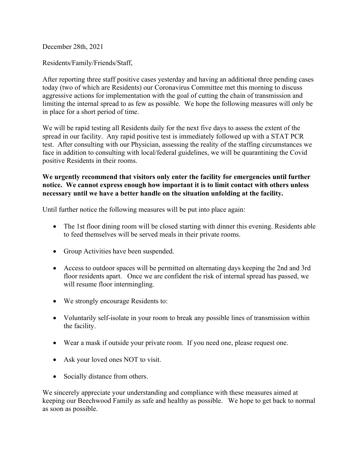December 28th, 2021

Residents/Family/Friends/Staff,

After reporting three staff positive cases yesterday and having an additional three pending cases today (two of which are Residents) our Coronavirus Committee met this morning to discuss aggressive actions for implementation with the goal of cutting the chain of transmission and limiting the internal spread to as few as possible. We hope the following measures will only be in place for a short period of time.

We will be rapid testing all Residents daily for the next five days to assess the extent of the spread in our facility. Any rapid positive test is immediately followed up with a STAT PCR test. After consulting with our Physician, assessing the reality of the staffing circumstances we face in addition to consulting with local/federal guidelines, we will be quarantining the Covid positive Residents in their rooms.

## **We urgently recommend that visitors only enter the facility for emergencies until further notice. We cannot express enough how important it is to limit contact with others unless necessary until we have a better handle on the situation unfolding at the facility.**

Until further notice the following measures will be put into place again:

- The 1st floor dining room will be closed starting with dinner this evening. Residents able to feed themselves will be served meals in their private rooms.
- Group Activities have been suspended.
- Access to outdoor spaces will be permitted on alternating days keeping the 2nd and 3rd floor residents apart. Once we are confident the risk of internal spread has passed, we will resume floor intermingling.
- We strongly encourage Residents to:
- Voluntarily self-isolate in your room to break any possible lines of transmission within the facility.
- Wear a mask if outside your private room. If you need one, please request one.
- Ask your loved ones NOT to visit.
- Socially distance from others.

We sincerely appreciate your understanding and compliance with these measures aimed at keeping our Beechwood Family as safe and healthy as possible. We hope to get back to normal as soon as possible.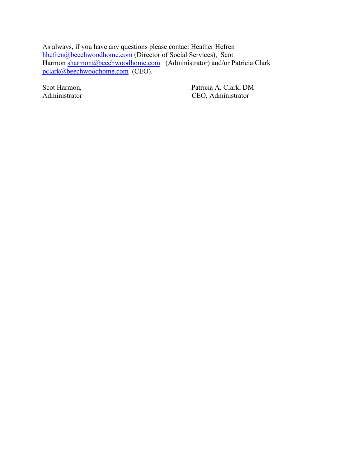As always, if you have any questions please contact Heather Hefren hhefren@beechwoodhome.com (Director of Social Services), Scot Harmon sharmon@beechwoodhome.com (Administrator) and/or Patricia Clark pclark@beechwoodhome.com (CEO).

Scot Harmon, Patricia A. Clark, DM Administrator CEO, Administrator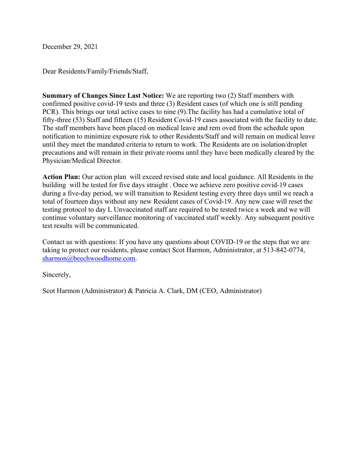December 29, 2021

Dear Residents/Family/Friends/Staff,

**Summary of Changes Since Last Notice:** We are reporting two (2) Staff members with confirmed positive covid-19 tests and three (3) Resident cases (of which one is still pending PCR). This brings our total active cases to nine (9).The facility has had a cumulative total of fifty-three (53) Staff and fifteen (15) Resident Covid-19 cases associated with the facility to date. The staff members have been placed on medical leave and rem oved from the schedule upon notification to minimize exposure risk to other Residents/Staff and will remain on medical leave until they meet the mandated criteria to return to work. The Residents are on isolation/droplet precautions and will remain in their private rooms until they have been medically cleared by the Physician/Medical Director.

**Action Plan:** Our action plan will exceed revised state and local guidance. All Residents in the building will be tested for five days straight . Once we achieve zero positive covid-19 cases during a five-day period, we will transition to Resident testing every three days until we reach a total of fourteen days without any new Resident cases of Covid-19. Any new case will reset the testing protocol to day L Unvaccinated staff are required to be tested twice a week and we will continue voluntary surveillance monitoring of vaccinated staff weekly. Any subsequent positive test results will be communicated.

Contact us with questions: If you have any questions about COVID-19 or the steps that we are taking to protect our residents, please contact Scot Harmon, Administrator, at 513-842-0774, sharmon@beechwoodhome.com.

Sincerely,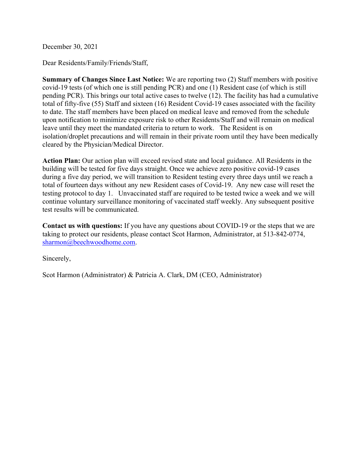December 30, 2021

Dear Residents/Family/Friends/Staff,

**Summary of Changes Since Last Notice:** We are reporting two (2) Staff members with positive covid-19 tests (of which one is still pending PCR) and one (1) Resident case (of which is still pending PCR). This brings our total active cases to twelve (12). The facility has had a cumulative total of fifty-five (55) Staff and sixteen (16) Resident Covid-19 cases associated with the facility to date. The staff members have been placed on medical leave and removed from the schedule upon notification to minimize exposure risk to other Residents/Staff and will remain on medical leave until they meet the mandated criteria to return to work. The Resident is on isolation/droplet precautions and will remain in their private room until they have been medically cleared by the Physician/Medical Director.

**Action Plan:** Our action plan will exceed revised state and local guidance. All Residents in the building will be tested for five days straight. Once we achieve zero positive covid-19 cases during a five day period, we will transition to Resident testing every three days until we reach a total of fourteen days without any new Resident cases of Covid-19. Any new case will reset the testing protocol to day 1. Unvaccinated staff are required to be tested twice a week and we will continue voluntary surveillance monitoring of vaccinated staff weekly. Any subsequent positive test results will be communicated.

**Contact us with questions:** If you have any questions about COVID-19 or the steps that we are taking to protect our residents, please contact Scot Harmon, Administrator, at 513-842-0774, sharmon@beechwoodhome.com.

Sincerely,